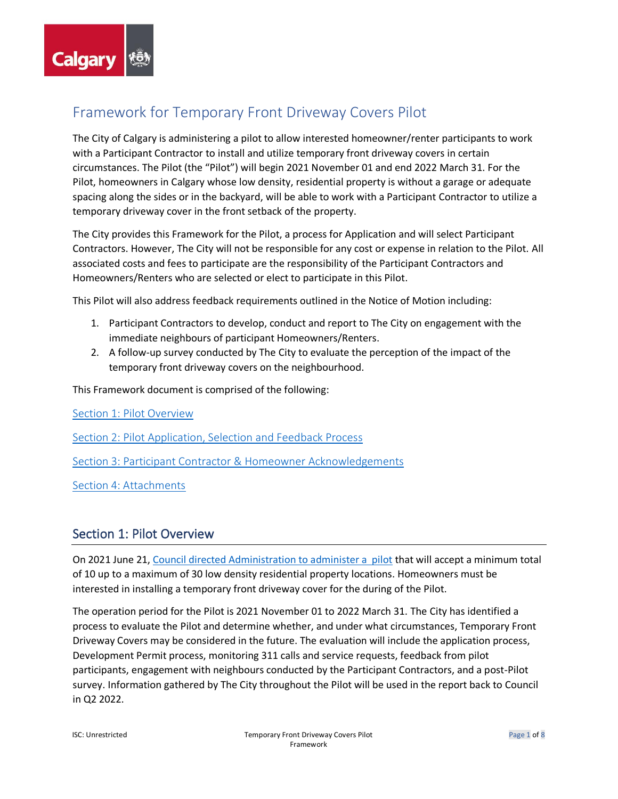

# <span id="page-0-1"></span>Framework for Temporary Front Driveway Covers Pilot

The City of Calgary is administering a pilot to allow interested homeowner/renter participants to work with a Participant Contractor to install and utilize temporary front driveway covers in certain circumstances. The Pilot (the "Pilot") will begin 2021 November 01 and end 2022 March 31. For the Pilot, homeowners in Calgary whose low density, residential property is without a garage or adequate spacing along the sides or in the backyard, will be able to work with a Participant Contractor to utilize a temporary driveway cover in the front setback of the property.

The City provides this Framework for the Pilot, a process for Application and will select Participant Contractors. However, The City will not be responsible for any cost or expense in relation to the Pilot. All associated costs and fees to participate are the responsibility of the Participant Contractors and Homeowners/Renters who are selected or elect to participate in this Pilot.

This Pilot will also address feedback requirements outlined in the Notice of Motion including:

- 1. Participant Contractors to develop, conduct and report to The City on engagement with the immediate neighbours of participant Homeowners/Renters.
- 2. A follow-up survey conducted by The City to evaluate the perception of the impact of the temporary front driveway covers on the neighbourhood.

This Framework document is comprised of the following:

[Section 1: Pilot Overview](#page-0-0)

[Section 2: Pilot Application, Selection and Feedback Process](#page-2-0)

[Section 3: Participant Contractor & Homeowner Acknowledgements](#page-5-0)

[Section 4: Attachments](#page-7-0)

# <span id="page-0-0"></span>Section 1: Pilot Overview

On 2021 June 21, [Council directed Administration to administer a pilot](https://pub-calgary.escribemeetings.com/filestream.ashx?DocumentId=175424) that will accept a minimum total of 10 up to a maximum of 30 low density residential property locations. Homeowners must be interested in installing a temporary front driveway cover for the during of the Pilot.

The operation period for the Pilot is 2021 November 01 to 2022 March 31. The City has identified a process to evaluate the Pilot and determine whether, and under what circumstances, Temporary Front Driveway Covers may be considered in the future. The evaluation will include the application process, Development Permit process, monitoring 311 calls and service requests, feedback from pilot participants, engagement with neighbours conducted by the Participant Contractors, and a post-Pilot survey. Information gathered by The City throughout the Pilot will be used in the report back to Council in Q2 2022.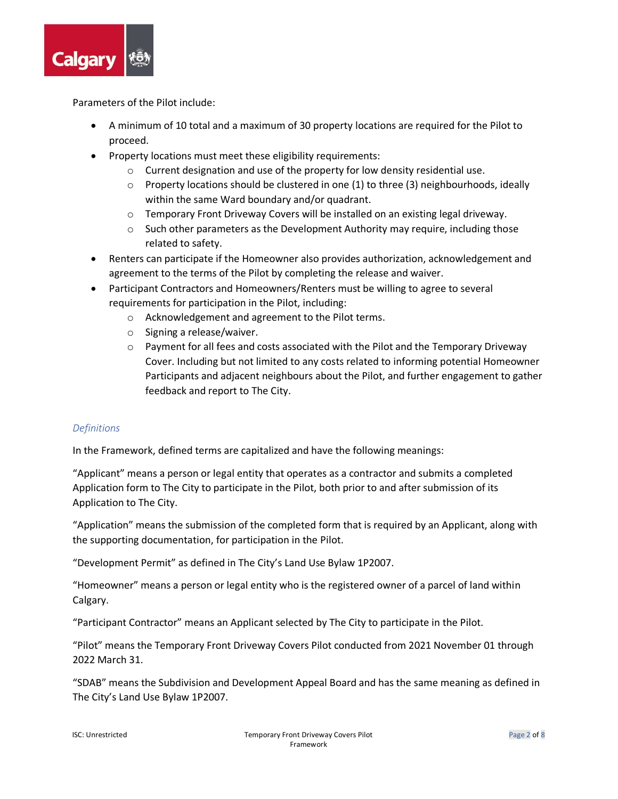

Parameters of the Pilot include:

- A minimum of 10 total and a maximum of 30 property locations are required for the Pilot to proceed.
- Property locations must meet these eligibility requirements:
	- $\circ$  Current designation and use of the property for low density residential use.
	- $\circ$  Property locations should be clustered in one (1) to three (3) neighbourhoods, ideally within the same Ward boundary and/or quadrant.
	- $\circ$  Temporary Front Driveway Covers will be installed on an existing legal driveway.
	- $\circ$  Such other parameters as the Development Authority may require, including those related to safety.
- Renters can participate if the Homeowner also provides authorization, acknowledgement and agreement to the terms of the Pilot by completing the release and waiver.
- Participant Contractors and Homeowners/Renters must be willing to agree to several requirements for participation in the Pilot, including:
	- o Acknowledgement and agreement to the Pilot terms.
	- o Signing a release/waiver.
	- $\circ$  Payment for all fees and costs associated with the Pilot and the Temporary Driveway Cover. Including but not limited to any costs related to informing potential Homeowner Participants and adjacent neighbours about the Pilot, and further engagement to gather feedback and report to The City.

# *Definitions*

In the Framework, defined terms are capitalized and have the following meanings:

"Applicant" means a person or legal entity that operates as a contractor and submits a completed Application form to The City to participate in the Pilot, both prior to and after submission of its Application to The City.

"Application" means the submission of the completed form that is required by an Applicant, along with the supporting documentation, for participation in the Pilot.

"Development Permit" as defined in The City's Land Use Bylaw 1P2007.

"Homeowner" means a person or legal entity who is the registered owner of a parcel of land within Calgary.

"Participant Contractor" means an Applicant selected by The City to participate in the Pilot.

"Pilot" means the Temporary Front Driveway Covers Pilot conducted from 2021 November 01 through 2022 March 31.

"SDAB" means the Subdivision and Development Appeal Board and has the same meaning as defined in The City's Land Use Bylaw 1P2007.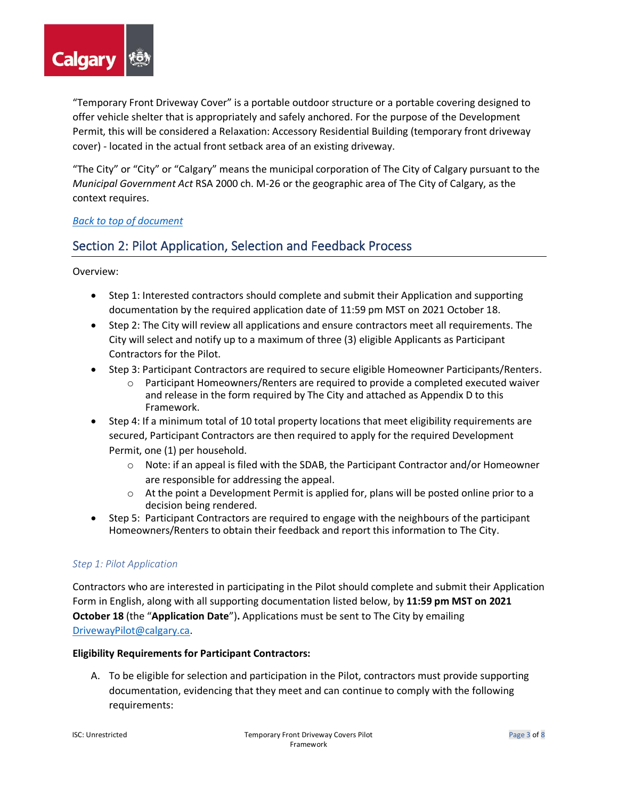

"Temporary Front Driveway Cover" is a portable outdoor structure or a portable covering designed to offer vehicle shelter that is appropriately and safely anchored. For the purpose of the Development Permit, this will be considered a Relaxation: Accessory Residential Building (temporary front driveway cover) - located in the actual front setback area of an existing driveway.

"The City" or "City" or "Calgary" means the municipal corporation of The City of Calgary pursuant to the *Municipal Government Act* RSA 2000 ch. M-26 or the geographic area of The City of Calgary, as the context requires.

# *[Back to top of document](#page-0-1)*

# <span id="page-2-0"></span>Section 2: Pilot Application, Selection and Feedback Process

Overview:

- Step 1: Interested contractors should complete and submit their Application and supporting documentation by the required application date of 11:59 pm MST on 2021 October 18.
- Step 2: The City will review all applications and ensure contractors meet all requirements. The City will select and notify up to a maximum of three (3) eligible Applicants as Participant Contractors for the Pilot.
- Step 3: Participant Contractors are required to secure eligible Homeowner Participants/Renters.
	- $\circ$  Participant Homeowners/Renters are required to provide a completed executed waiver and release in the form required by The City and attached as Appendix D to this Framework.
- Step 4: If a minimum total of 10 total property locations that meet eligibility requirements are secured, Participant Contractors are then required to apply for the required Development Permit, one (1) per household.
	- $\circ$  Note: if an appeal is filed with the SDAB, the Participant Contractor and/or Homeowner are responsible for addressing the appeal.
	- o At the point a Development Permit is applied for, plans will be posted online prior to a decision being rendered.
- Step 5: Participant Contractors are required to engage with the neighbours of the participant Homeowners/Renters to obtain their feedback and report this information to The City.

# *Step 1: Pilot Application*

Contractors who are interested in participating in the Pilot should complete and submit their Application Form in English, along with all supporting documentation listed below, by **11:59 pm MST on 2021 October 18** (the "**Application Date**")**.** Applications must be sent to The City by emailing [DrivewayPilot@calgary.ca.](mailto:DrivewayPilot@calgary.ca)

# **Eligibility Requirements for Participant Contractors:**

A. To be eligible for selection and participation in the Pilot, contractors must provide supporting documentation, evidencing that they meet and can continue to comply with the following requirements: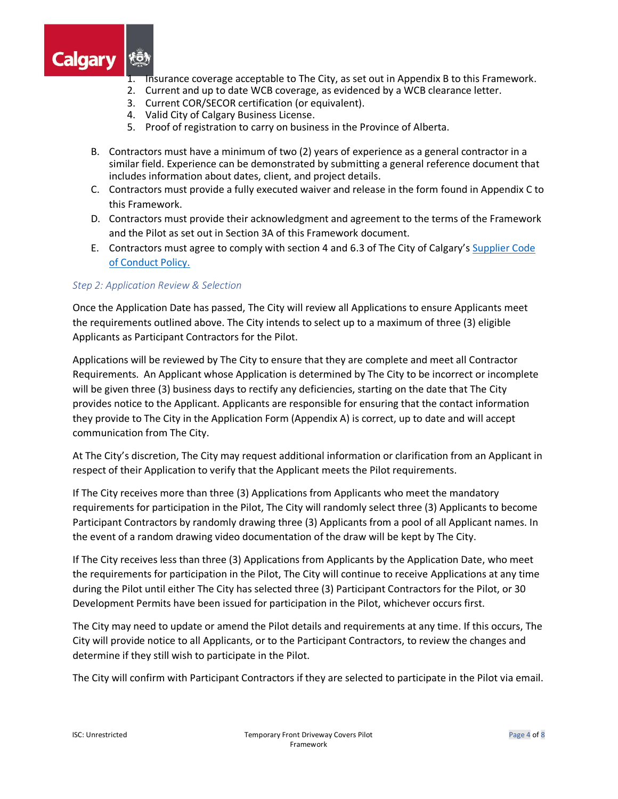

- 1. Insurance coverage acceptable to The City, as set out in Appendix B to this Framework.
- 2. Current and up to date WCB coverage, as evidenced by a WCB clearance letter.
- 3. Current COR/SECOR certification (or equivalent).
- 4. Valid City of Calgary Business License.
- 5. Proof of registration to carry on business in the Province of Alberta.
- B. Contractors must have a minimum of two (2) years of experience as a general contractor in a similar field. Experience can be demonstrated by submitting a general reference document that includes information about dates, client, and project details.
- C. Contractors must provide a fully executed waiver and release in the form found in Appendix C to this Framework.
- D. Contractors must provide their acknowledgment and agreement to the terms of the Framework and the Pilot as set out in Section 3A of this Framework document.
- E. Contractors must agree to comply with section 4 and 6.3 of The City of Calgary's Supplier Code [of Conduct Policy.](https://publicaccess.calgary.ca/lldm01/livelink.exe?func=ccpa.general&msgID=HTcATygyqyV&msgAction=Download)

#### *Step 2: Application Review & Selection*

Once the Application Date has passed, The City will review all Applications to ensure Applicants meet the requirements outlined above. The City intends to select up to a maximum of three (3) eligible Applicants as Participant Contractors for the Pilot.

Applications will be reviewed by The City to ensure that they are complete and meet all Contractor Requirements. An Applicant whose Application is determined by The City to be incorrect or incomplete will be given three (3) business days to rectify any deficiencies, starting on the date that The City provides notice to the Applicant. Applicants are responsible for ensuring that the contact information they provide to The City in the Application Form (Appendix A) is correct, up to date and will accept communication from The City.

At The City's discretion, The City may request additional information or clarification from an Applicant in respect of their Application to verify that the Applicant meets the Pilot requirements.

If The City receives more than three (3) Applications from Applicants who meet the mandatory requirements for participation in the Pilot, The City will randomly select three (3) Applicants to become Participant Contractors by randomly drawing three (3) Applicants from a pool of all Applicant names. In the event of a random drawing video documentation of the draw will be kept by The City.

If The City receives less than three (3) Applications from Applicants by the Application Date, who meet the requirements for participation in the Pilot, The City will continue to receive Applications at any time during the Pilot until either The City has selected three (3) Participant Contractors for the Pilot, or 30 Development Permits have been issued for participation in the Pilot, whichever occurs first.

The City may need to update or amend the Pilot details and requirements at any time. If this occurs, The City will provide notice to all Applicants, or to the Participant Contractors, to review the changes and determine if they still wish to participate in the Pilot.

The City will confirm with Participant Contractors if they are selected to participate in the Pilot via email.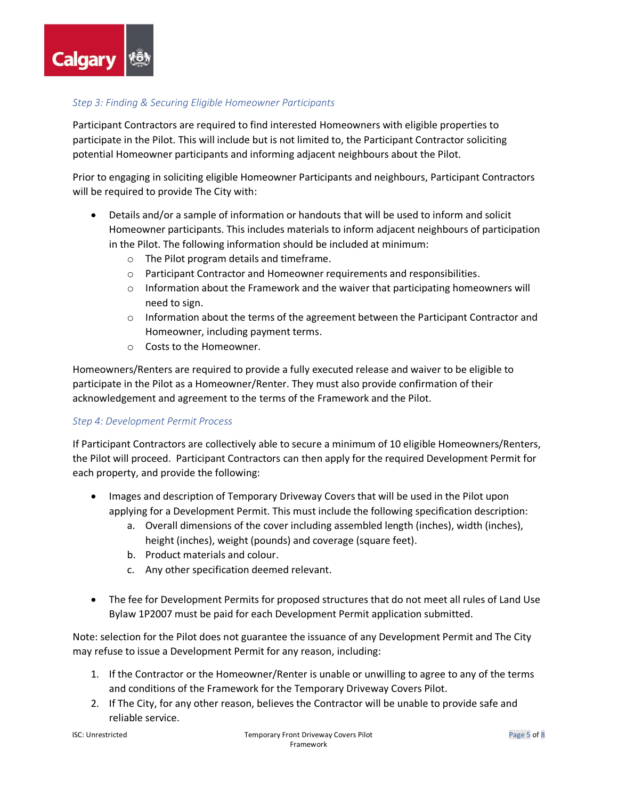

# *Step 3: Finding & Securing Eligible Homeowner Participants*

Participant Contractors are required to find interested Homeowners with eligible properties to participate in the Pilot. This will include but is not limited to, the Participant Contractor soliciting potential Homeowner participants and informing adjacent neighbours about the Pilot.

Prior to engaging in soliciting eligible Homeowner Participants and neighbours, Participant Contractors will be required to provide The City with:

- Details and/or a sample of information or handouts that will be used to inform and solicit Homeowner participants. This includes materials to inform adjacent neighbours of participation in the Pilot. The following information should be included at minimum:
	- o The Pilot program details and timeframe.
	- o Participant Contractor and Homeowner requirements and responsibilities.
	- $\circ$  Information about the Framework and the waiver that participating homeowners will need to sign.
	- $\circ$  Information about the terms of the agreement between the Participant Contractor and Homeowner, including payment terms.
	- o Costs to the Homeowner.

Homeowners/Renters are required to provide a fully executed release and waiver to be eligible to participate in the Pilot as a Homeowner/Renter. They must also provide confirmation of their acknowledgement and agreement to the terms of the Framework and the Pilot.

#### *Step 4: Development Permit Process*

If Participant Contractors are collectively able to secure a minimum of 10 eligible Homeowners/Renters, the Pilot will proceed. Participant Contractors can then apply for the required Development Permit for each property, and provide the following:

- Images and description of Temporary Driveway Covers that will be used in the Pilot upon applying for a Development Permit. This must include the following specification description:
	- a. Overall dimensions of the cover including assembled length (inches), width (inches), height (inches), weight (pounds) and coverage (square feet).
	- b. Product materials and colour.
	- c. Any other specification deemed relevant.
- The fee for Development Permits for proposed structures that do not meet all rules of Land Use Bylaw 1P2007 must be paid for each Development Permit application submitted.

Note: selection for the Pilot does not guarantee the issuance of any Development Permit and The City may refuse to issue a Development Permit for any reason, including:

- 1. If the Contractor or the Homeowner/Renter is unable or unwilling to agree to any of the terms and conditions of the Framework for the Temporary Driveway Covers Pilot.
- 2. If The City, for any other reason, believes the Contractor will be unable to provide safe and reliable service.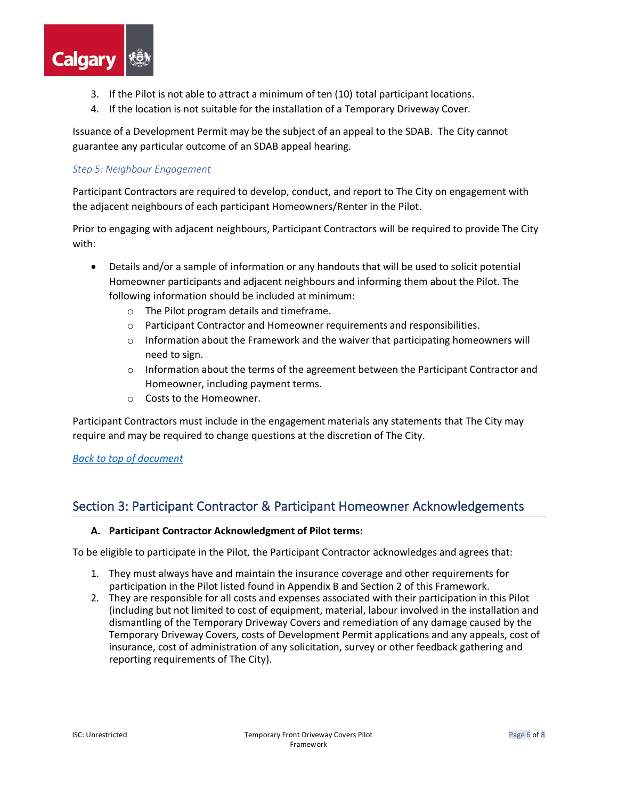

- 3. If the Pilot is not able to attract a minimum of ten (10) total participant locations.
- 4. If the location is not suitable for the installation of a Temporary Driveway Cover.

Issuance of a Development Permit may be the subject of an appeal to the SDAB. The City cannot guarantee any particular outcome of an SDAB appeal hearing.

### *Step 5: Neighbour Engagement*

Participant Contractors are required to develop, conduct, and report to The City on engagement with the adjacent neighbours of each participant Homeowners/Renter in the Pilot.

Prior to engaging with adjacent neighbours, Participant Contractors will be required to provide The City with:

- Details and/or a sample of information or any handouts that will be used to solicit potential Homeowner participants and adjacent neighbours and informing them about the Pilot. The following information should be included at minimum:
	- o The Pilot program details and timeframe.
	- o Participant Contractor and Homeowner requirements and responsibilities.
	- $\circ$  Information about the Framework and the waiver that participating homeowners will need to sign.
	- $\circ$  Information about the terms of the agreement between the Participant Contractor and Homeowner, including payment terms.
	- o Costs to the Homeowner.

Participant Contractors must include in the engagement materials any statements that The City may require and may be required to change questions at the discretion of The City.

#### *[Back to top of document](#page-0-1)*

# <span id="page-5-0"></span>Section 3: Participant Contractor & Participant Homeowner Acknowledgements

#### **A. Participant Contractor Acknowledgment of Pilot terms:**

To be eligible to participate in the Pilot, the Participant Contractor acknowledges and agrees that:

- 1. They must always have and maintain the insurance coverage and other requirements for participation in the Pilot listed found in Appendix B and Section 2 of this Framework.
- 2. They are responsible for all costs and expenses associated with their participation in this Pilot (including but not limited to cost of equipment, material, labour involved in the installation and dismantling of the Temporary Driveway Covers and remediation of any damage caused by the Temporary Driveway Covers, costs of Development Permit applications and any appeals, cost of insurance, cost of administration of any solicitation, survey or other feedback gathering and reporting requirements of The City).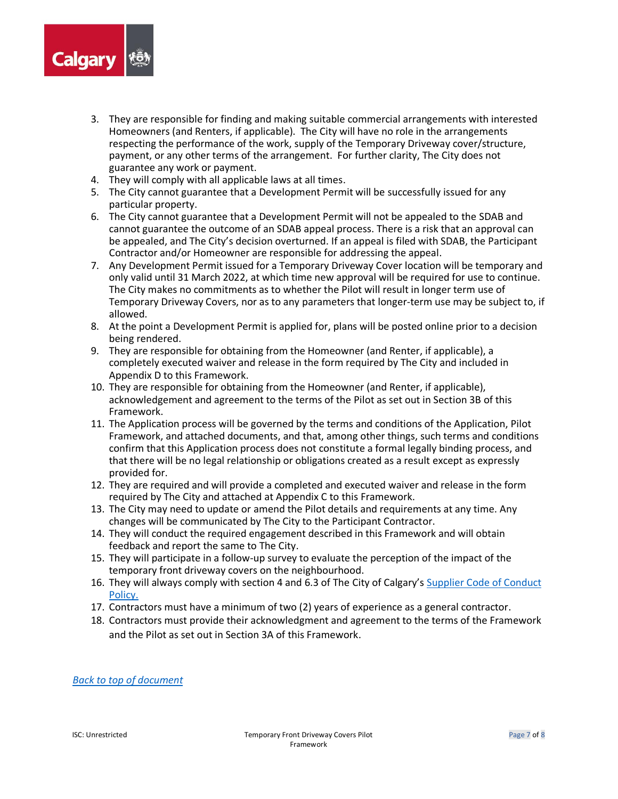

- 3. They are responsible for finding and making suitable commercial arrangements with interested Homeowners (and Renters, if applicable). The City will have no role in the arrangements respecting the performance of the work, supply of the Temporary Driveway cover/structure, payment, or any other terms of the arrangement. For further clarity, The City does not guarantee any work or payment.
- 4. They will comply with all applicable laws at all times.
- 5. The City cannot guarantee that a Development Permit will be successfully issued for any particular property.
- 6. The City cannot guarantee that a Development Permit will not be appealed to the SDAB and cannot guarantee the outcome of an SDAB appeal process. There is a risk that an approval can be appealed, and The City's decision overturned. If an appeal is filed with SDAB, the Participant Contractor and/or Homeowner are responsible for addressing the appeal.
- 7. Any Development Permit issued for a Temporary Driveway Cover location will be temporary and only valid until 31 March 2022, at which time new approval will be required for use to continue. The City makes no commitments as to whether the Pilot will result in longer term use of Temporary Driveway Covers, nor as to any parameters that longer-term use may be subject to, if allowed.
- 8. At the point a Development Permit is applied for, plans will be posted online prior to a decision being rendered.
- 9. They are responsible for obtaining from the Homeowner (and Renter, if applicable), a completely executed waiver and release in the form required by The City and included in Appendix D to this Framework.
- 10. They are responsible for obtaining from the Homeowner (and Renter, if applicable), acknowledgement and agreement to the terms of the Pilot as set out in Section 3B of this Framework.
- 11. The Application process will be governed by the terms and conditions of the Application, Pilot Framework, and attached documents, and that, among other things, such terms and conditions confirm that this Application process does not constitute a formal legally binding process, and that there will be no legal relationship or obligations created as a result except as expressly provided for.
- 12. They are required and will provide a completed and executed waiver and release in the form required by The City and attached at Appendix C to this Framework.
- 13. The City may need to update or amend the Pilot details and requirements at any time. Any changes will be communicated by The City to the Participant Contractor.
- 14. They will conduct the required engagement described in this Framework and will obtain feedback and report the same to The City.
- 15. They will participate in a follow-up survey to evaluate the perception of the impact of the temporary front driveway covers on the neighbourhood.
- 16. They will always comply with section 4 and 6.3 of The City of Calgary's Supplier Code of Conduct [Policy.](https://publicaccess.calgary.ca/lldm01/livelink.exe?func=ccpa.general&msgID=HTcATygyqyV&msgAction=Download)
- 17. Contractors must have a minimum of two (2) years of experience as a general contractor.
- 18. Contractors must provide their acknowledgment and agreement to the terms of the Framework and the Pilot as set out in Section 3A of this Framework.

*[Back to top of document](#page-0-1)*